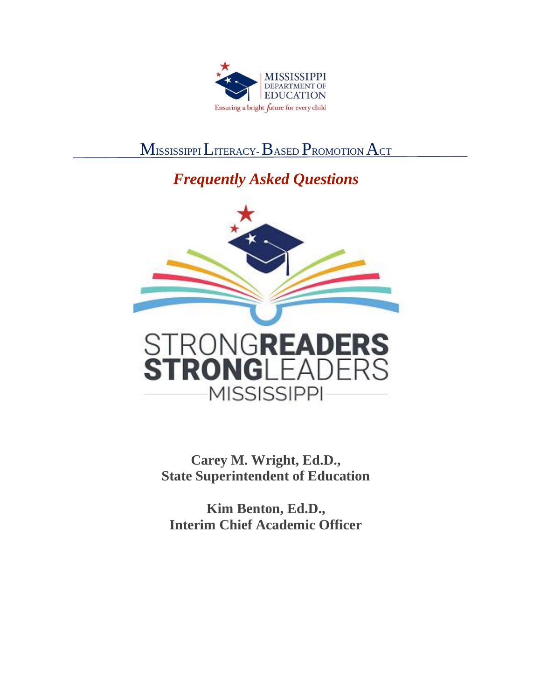

# MISSISSIPPI LITERACY-BASED PROMOTION ACT

# *Frequently Asked Questions*



**Carey M. Wright, Ed.D., State Superintendent of Education** 

**Kim Benton, Ed.D., Interim Chief Academic Officer**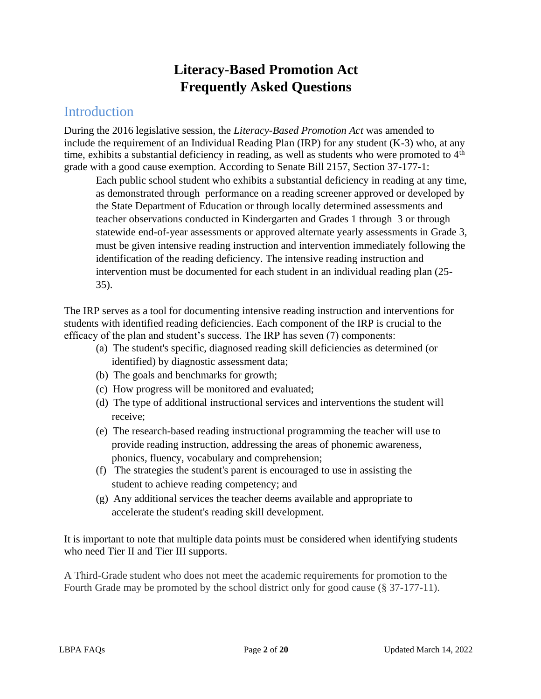# **Literacy-Based Promotion Act Frequently Asked Questions**

#### **Introduction**

During the 2016 legislative session, the *Literacy-Based Promotion Act* was amended to include the requirement of an Individual Reading Plan (IRP) for any student (K-3) who, at any time, exhibits a substantial deficiency in reading, as well as students who were promoted to  $4<sup>th</sup>$ grade with a good cause exemption. According to Senate Bill 2157, Section 37-177-1:

Each public school student who exhibits a substantial deficiency in reading at any time, as demonstrated through performance on a reading screener approved or developed by the State Department of Education or through locally determined assessments and teacher observations conducted in Kindergarten and Grades 1 through 3 or through statewide end-of-year assessments or approved alternate yearly assessments in Grade 3, must be given intensive reading instruction and intervention immediately following the identification of the reading deficiency. The intensive reading instruction and intervention must be documented for each student in an individual reading plan (25- 35).

The IRP serves as a tool for documenting intensive reading instruction and interventions for students with identified reading deficiencies. Each component of the IRP is crucial to the efficacy of the plan and student's success. The IRP has seven (7) components:

- (a) The student's specific, diagnosed reading skill deficiencies as determined (or identified) by diagnostic assessment data;
- (b) The goals and benchmarks for growth;
- (c) How progress will be monitored and evaluated;
- (d) The type of additional instructional services and interventions the student will receive;
- (e) The research-based reading instructional programming the teacher will use to provide reading instruction, addressing the areas of phonemic awareness, phonics, fluency, vocabulary and comprehension;
- (f) The strategies the student's parent is encouraged to use in assisting the student to achieve reading competency; and
- (g) Any additional services the teacher deems available and appropriate to accelerate the student's reading skill development.

It is important to note that multiple data points must be considered when identifying students who need Tier II and Tier III supports.

A Third-Grade student who does not meet the academic requirements for promotion to the Fourth Grade may be promoted by the school district only for good cause (§ 37-177-11).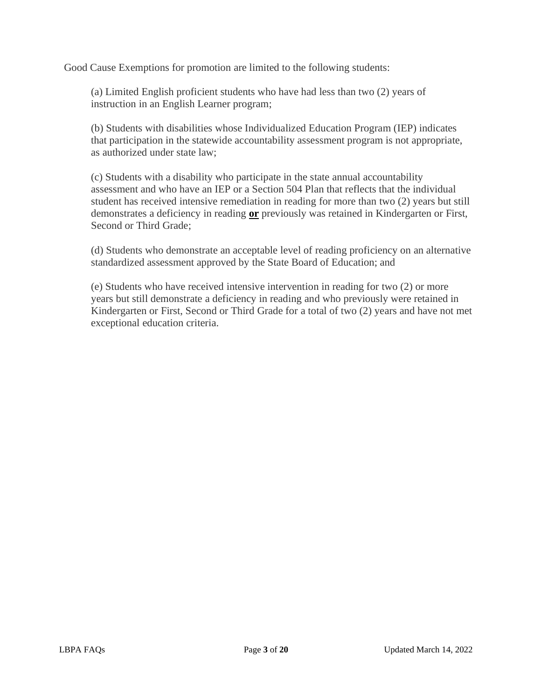Good Cause Exemptions for promotion are limited to the following students:

(a) Limited English proficient students who have had less than two (2) years of instruction in an English Learner program;

(b) Students with disabilities whose Individualized Education Program (IEP) indicates that participation in the statewide accountability assessment program is not appropriate, as authorized under state law;

(c) Students with a disability who participate in the state annual accountability assessment and who have an IEP or a Section 504 Plan that reflects that the individual student has received intensive remediation in reading for more than two (2) years but still demonstrates a deficiency in reading **or** previously was retained in Kindergarten or First, Second or Third Grade;

(d) Students who demonstrate an acceptable level of reading proficiency on an alternative standardized assessment approved by the State Board of Education; and

(e) Students who have received intensive intervention in reading for two (2) or more years but still demonstrate a deficiency in reading and who previously were retained in Kindergarten or First, Second or Third Grade for a total of two (2) years and have not met exceptional education criteria.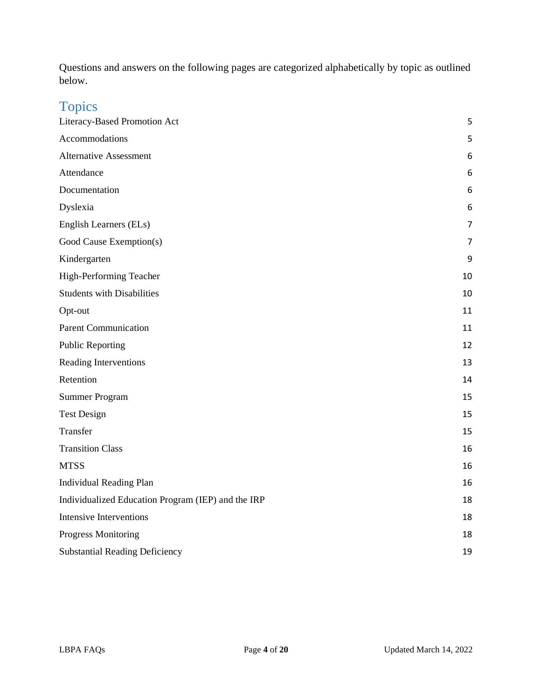Questions and answers on the following pages are categorized alphabetically by topic as outlined below.

# Topics

| Literacy-Based Promotion Act                       | 5              |
|----------------------------------------------------|----------------|
| Accommodations                                     | 5              |
| <b>Alternative Assessment</b>                      | 6              |
| Attendance                                         | 6              |
| Documentation                                      | 6              |
| Dyslexia                                           | 6              |
| English Learners (ELs)                             | $\overline{7}$ |
| Good Cause Exemption(s)                            | $\overline{7}$ |
| Kindergarten                                       | 9              |
| High-Performing Teacher                            | 10             |
| <b>Students with Disabilities</b>                  | 10             |
| Opt-out                                            | 11             |
| <b>Parent Communication</b>                        | 11             |
| <b>Public Reporting</b>                            | 12             |
| Reading Interventions                              | 13             |
| Retention                                          | 14             |
| <b>Summer Program</b>                              | 15             |
| <b>Test Design</b>                                 | 15             |
| Transfer                                           | 15             |
| <b>Transition Class</b>                            | 16             |
| <b>MTSS</b>                                        | 16             |
| <b>Individual Reading Plan</b>                     | 16             |
| Individualized Education Program (IEP) and the IRP | 18             |
| <b>Intensive Interventions</b>                     | 18             |
| <b>Progress Monitoring</b>                         | 18             |
| <b>Substantial Reading Deficiency</b>              | 19             |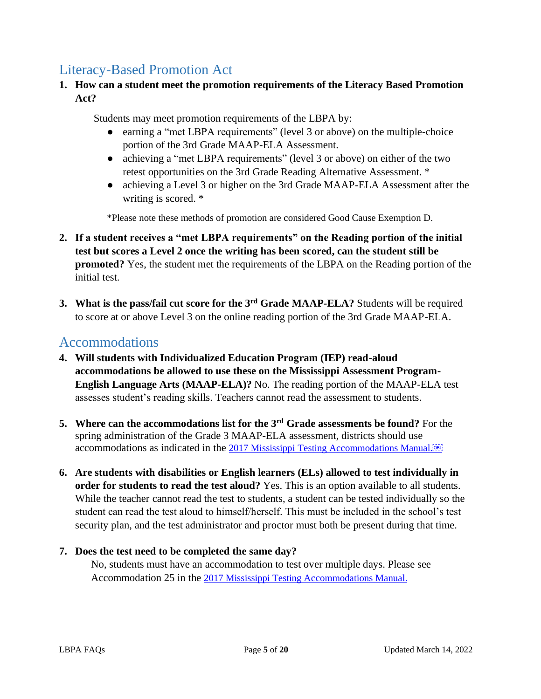#### <span id="page-4-0"></span>Literacy-Based Promotion Act

**1. How can a student meet the promotion requirements of the Literacy Based Promotion Act?**

Students may meet promotion requirements of the LBPA by:

- earning a "met LBPA requirements" (level 3 or above) on the multiple-choice portion of the 3rd Grade MAAP-ELA Assessment.
- achieving a "met LBPA requirements" (level 3 or above) on either of the two retest opportunities on the 3rd Grade Reading Alternative Assessment. \*
- achieving a Level 3 or higher on the 3rd Grade MAAP-ELA Assessment after the writing is scored. \*

\*Please note these methods of promotion are considered Good Cause Exemption D.

- **2. If a student receives a "met LBPA requirements" on the Reading portion of the initial test but scores a Level 2 once the writing has been scored, can the student still be promoted?** Yes, the student met the requirements of the LBPA on the Reading portion of the initial test.
- **3. What is the pass/fail cut score for the 3rd Grade MAAP-ELA?** Students will be required to score at or above Level 3 on the online reading portion of the 3rd Grade MAAP-ELA.

### <span id="page-4-1"></span>Accommodations

- **4. Will students with Individualized Education Program (IEP) read-aloud accommodations be allowed to use these on the Mississippi Assessment Program-English Language Arts (MAAP-ELA)?** No. The reading portion of the MAAP-ELA test assesses student's reading skills. Teachers cannot read the assessment to students.
- **5. Where can the accommodations list for the 3rd Grade assessments be found?** For the spring administration of the Grade 3 MAAP-ELA assessment, districts should use accommodations as indicated in the [2017 Mississippi Testing Accommodations Manual.](https://www.mdek12.org/sites/default/files/Offices/MDE/OA/OSA/2017-mississippi-testing-accomodations-manual_20171005.pdf)<sup>[68]</sup>
- **6. Are students with disabilities or English learners (ELs) allowed to test individually in order for students to read the test aloud?** Yes. This is an option available to all students. While the teacher cannot read the test to students, a student can be tested individually so the student can read the test aloud to himself/herself. This must be included in the school's test security plan, and the test administrator and proctor must both be present during that time.

#### **7. Does the test need to be completed the same day?**

No, students must have an accommodation to test over multiple days. Please see Accommodation 25 in the [2017 Mississippi Testing Accommodations Manual.](https://www.mdek12.org/sites/default/files/Offices/MDE/OA/OSA/2017-mississippi-testing-accomodations-manual_20171005.pdf)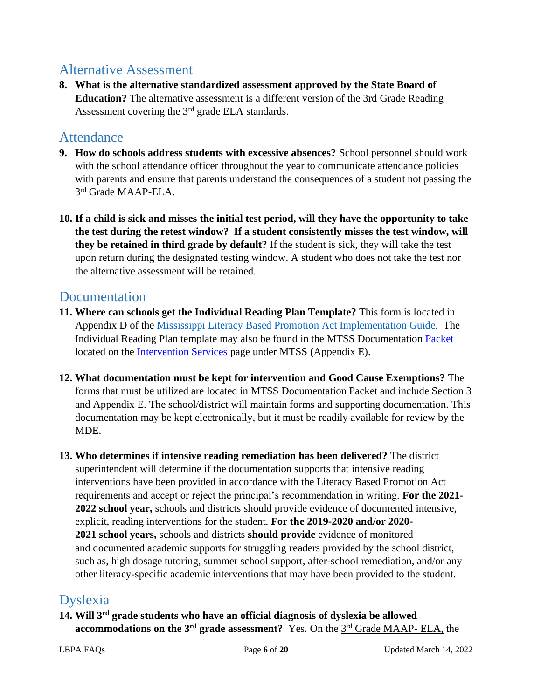#### <span id="page-5-0"></span>Alternative Assessment

**8. What is the alternative standardized assessment approved by the State Board of Education?** The alternative assessment is a different version of the 3rd Grade Reading Assessment covering the 3rd grade ELA standards.

#### <span id="page-5-1"></span>**Attendance**

- **9. How do schools address students with excessive absences?** School personnel should work with the school attendance officer throughout the year to communicate attendance policies with parents and ensure that parents understand the consequences of a student not passing the 3 rd Grade MAAP-ELA.
- **10. If a child is sick and misses the initial test period, will they have the opportunity to take the test during the retest window? If a student consistently misses the test window, will they be retained in third grade by default?** If the student is sick, they will take the test upon return during the designated testing window. A student who does not take the test nor the alternative assessment will be retained.

#### <span id="page-5-2"></span>Documentation

- **11. Where can schools get the Individual Reading Plan Template?** This form is located in Appendix D of the [Mississippi Literacy Based Promotion Act Implementation Guide.](https://www.mdek12.org/sites/default/files/documents/OAE/Literacy/ResourcesForAdmin/revised-11-09-16-lbpa-implementation-guide_feb17_20170223084950_172860.pdf) The Individual Reading Plan template may also be found in the MTSS Documentation Packet located on the [Intervention Services](https://www.mdek12.org/OAE/OEER/InterventionServices) page under MTSS (Appendix E).
- **12. What documentation must be kept for intervention and Good Cause Exemptions?** The forms that must be utilized are located in MTSS Documentation Packet and include Section 3 and Appendix E. The school/district will maintain forms and supporting documentation. This documentation may be kept electronically, but it must be readily available for review by the MDE.
- **13. Who determines if intensive reading remediation has been delivered?** The district superintendent will determine if the documentation supports that intensive reading interventions have been provided in accordance with the Literacy Based Promotion Act requirements and accept or reject the principal's recommendation in writing. **For the 2021- 2022 school year,** schools and districts should provide evidence of documented intensive, explicit, reading interventions for the student. **For the 2019-2020 and/or 2020- 2021 school years,** schools and districts **should provide** evidence of monitored and documented academic supports for struggling readers provided by the school district, such as, high dosage tutoring, summer school support, after-school remediation, and/or any other literacy-specific academic interventions that may have been provided to the student.

## <span id="page-5-3"></span>Dyslexia

**14. Will 3rd grade students who have an official diagnosis of dyslexia be allowed accommodations on the 3<sup>rd</sup> grade assessment?** Yes. On the 3<sup>rd</sup> Grade MAAP- ELA, the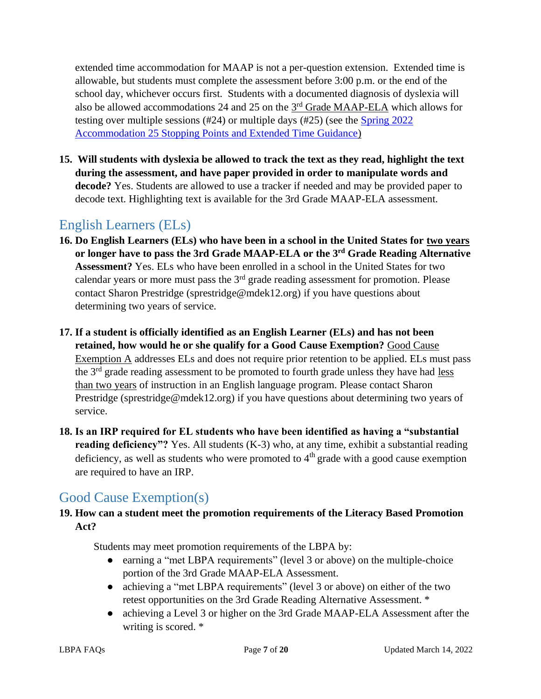extended time accommodation for MAAP is not a per-question extension. Extended time is allowable, but students must complete the assessment before 3:00 p.m. or the end of the school day, whichever occurs first. Students with a documented diagnosis of dyslexia will also be allowed accommodations 24 and 25 on the 3<sup>rd</sup> Grade MAAP-ELA which allows for testing over multiple sessions (#24) or multiple days (#25) (see the [Spring 2022](https://www.mdek12.org/sites/default/files/Offices/MDE/OA/OSA/MAAP/maapsp2022_accommodation_23_25.pdf)  [Accommodation 25 Stopping Points and Extended Time Guidance\)](https://www.mdek12.org/sites/default/files/Offices/MDE/OA/OSA/MAAP/maapsp2022_accommodation_23_25.pdf)

**15. Will students with dyslexia be allowed to track the text as they read, highlight the text during the assessment, and have paper provided in order to manipulate words and decode?** Yes. Students are allowed to use a tracker if needed and may be provided paper to decode text. Highlighting text is available for the 3rd Grade MAAP-ELA assessment.

# <span id="page-6-0"></span>English Learners (ELs)

- **16. Do English Learners (ELs) who have been in a school in the United States for two years or longer have to pass the 3rd Grade MAAP-ELA or the 3rd Grade Reading Alternative Assessment?** Yes. ELs who have been enrolled in a school in the United States for two calendar years or more must pass the 3rd grade reading assessment for promotion. Please contact Sharon Prestridge (sprestridge@mdek12.org) if you have questions about determining two years of service.
- **17. If a student is officially identified as an English Learner (ELs) and has not been retained, how would he or she qualify for a Good Cause Exemption?** Good Cause Exemption A addresses ELs and does not require prior retention to be applied. ELs must pass the 3<sup>rd</sup> grade reading assessment to be promoted to fourth grade unless they have had less than two years of instruction in an English language program. Please contact Sharon Prestridge (sprestridge@mdek12.org) if you have questions about determining two years of service.
- **18. Is an IRP required for EL students who have been identified as having a "substantial reading deficiency"?** Yes. All students (K-3) who, at any time, exhibit a substantial reading deficiency, as well as students who were promoted to  $4<sup>th</sup>$  grade with a good cause exemption are required to have an IRP.

# <span id="page-6-1"></span>Good Cause Exemption(s)

#### **19. How can a student meet the promotion requirements of the Literacy Based Promotion Act?**

Students may meet promotion requirements of the LBPA by:

- earning a "met LBPA requirements" (level 3 or above) on the multiple-choice portion of the 3rd Grade MAAP-ELA Assessment.
- achieving a "met LBPA requirements" (level 3 or above) on either of the two retest opportunities on the 3rd Grade Reading Alternative Assessment. \*
- achieving a Level 3 or higher on the 3rd Grade MAAP-ELA Assessment after the writing is scored. \*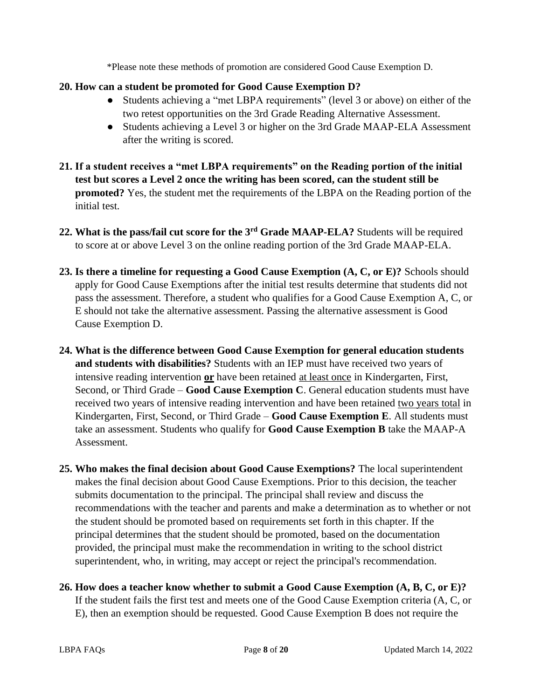\*Please note these methods of promotion are considered Good Cause Exemption D.

#### **20. How can a student be promoted for Good Cause Exemption D?**

- Students achieving a "met LBPA requirements" (level 3 or above) on either of the two retest opportunities on the 3rd Grade Reading Alternative Assessment.
- Students achieving a Level 3 or higher on the 3rd Grade MAAP-ELA Assessment after the writing is scored.
- **21. If a student receives a "met LBPA requirements" on the Reading portion of the initial test but scores a Level 2 once the writing has been scored, can the student still be promoted?** Yes, the student met the requirements of the LBPA on the Reading portion of the initial test.
- **22. What is the pass/fail cut score for the 3rd Grade MAAP-ELA?** Students will be required to score at or above Level 3 on the online reading portion of the 3rd Grade MAAP-ELA.
- **23. Is there a timeline for requesting a Good Cause Exemption (A, C, or E)?** Schools should apply for Good Cause Exemptions after the initial test results determine that students did not pass the assessment. Therefore, a student who qualifies for a Good Cause Exemption A, C, or E should not take the alternative assessment. Passing the alternative assessment is Good Cause Exemption D.
- **24. What is the difference between Good Cause Exemption for general education students and students with disabilities?** Students with an IEP must have received two years of intensive reading intervention **or** have been retained at least once in Kindergarten, First, Second, or Third Grade – **Good Cause Exemption C**. General education students must have received two years of intensive reading intervention and have been retained two years total in Kindergarten, First, Second, or Third Grade – **Good Cause Exemption E**. All students must take an assessment. Students who qualify for **Good Cause Exemption B** take the MAAP-A Assessment.
- **25. Who makes the final decision about Good Cause Exemptions?** The local superintendent makes the final decision about Good Cause Exemptions. Prior to this decision, the teacher submits documentation to the principal. The principal shall review and discuss the recommendations with the teacher and parents and make a determination as to whether or not the student should be promoted based on requirements set forth in this chapter. If the principal determines that the student should be promoted, based on the documentation provided, the principal must make the recommendation in writing to the school district superintendent, who, in writing, may accept or reject the principal's recommendation.
- **26. How does a teacher know whether to submit a Good Cause Exemption (A, B, C, or E)?**  If the student fails the first test and meets one of the Good Cause Exemption criteria (A, C, or E), then an exemption should be requested. Good Cause Exemption B does not require the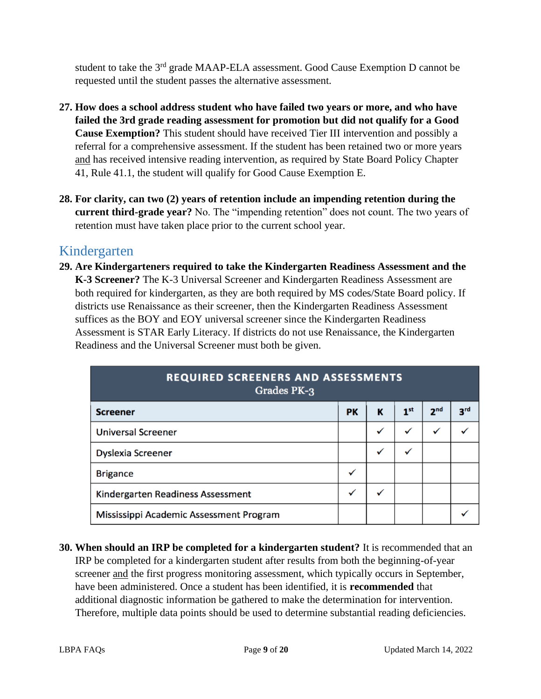student to take the 3<sup>rd</sup> grade MAAP-ELA assessment. Good Cause Exemption D cannot be requested until the student passes the alternative assessment.

- **27. How does a school address student who have failed two years or more, and who have failed the 3rd grade reading assessment for promotion but did not qualify for a Good Cause Exemption?** This student should have received Tier III intervention and possibly a referral for a comprehensive assessment. If the student has been retained two or more years and has received intensive reading intervention, as required by State Board Policy Chapter 41, Rule 41.1, the student will qualify for Good Cause Exemption E.
- **28. For clarity, can two (2) years of retention include an impending retention during the current third-grade year?** No. The "impending retention" does not count. The two years of retention must have taken place prior to the current school year.

#### <span id="page-8-0"></span>Kindergarten

**29. Are Kindergarteners required to take the Kindergarten Readiness Assessment and the K-3 Screener?** The K-3 Universal Screener and Kindergarten Readiness Assessment are both required for kindergarten, as they are both required by MS codes/State Board policy. If districts use Renaissance as their screener, then the Kindergarten Readiness Assessment suffices as the BOY and EOY universal screener since the Kindergarten Readiness Assessment is STAR Early Literacy. If districts do not use Renaissance, the Kindergarten Readiness and the Universal Screener must both be given.

| <b>REQUIRED SCREENERS AND ASSESSMENTS</b><br>Grades PK-3 |           |   |                 |                 |                 |
|----------------------------------------------------------|-----------|---|-----------------|-----------------|-----------------|
| <b>Screener</b>                                          | <b>PK</b> | К | 1 <sup>st</sup> | 2 <sup>nd</sup> | 3 <sup>rd</sup> |
| <b>Universal Screener</b>                                |           | ✓ | ✓               | $\checkmark$    |                 |
| <b>Dyslexia Screener</b>                                 |           | ✓ |                 |                 |                 |
| <b>Brigance</b>                                          | ✓         |   |                 |                 |                 |
| Kindergarten Readiness Assessment                        | ✓         | ✓ |                 |                 |                 |
| Mississippi Academic Assessment Program                  |           |   |                 |                 |                 |

**30. When should an IRP be completed for a kindergarten student?** It is recommended that an IRP be completed for a kindergarten student after results from both the beginning-of-year screener and the first progress monitoring assessment, which typically occurs in September, have been administered. Once a student has been identified, it is **recommended** that additional diagnostic information be gathered to make the determination for intervention. Therefore, multiple data points should be used to determine substantial reading deficiencies.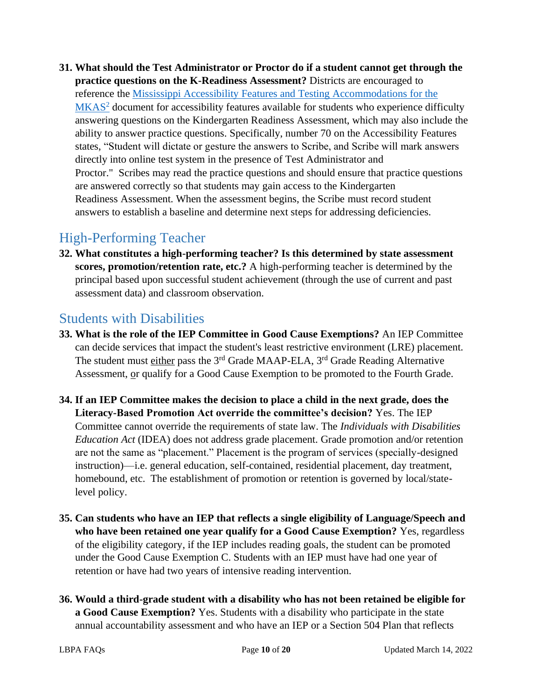**31. What should the Test Administrator or Proctor do if a student cannot get through the practice questions on the K-Readiness Assessment?** Districts are encouraged to reference the [Mississippi Accessibility Features and Testing Accommodations for the](https://districtaccess.mde.k12.ms.us/studentassessment/Public%20Access/Statewide_Assessment_Programs/-MKAS2/MKAS2-Accommodations-Manual/MKAS2-Accessibility-Features-and-Testing-Accommodations-February-2015.pdf)  [MKAS](https://districtaccess.mde.k12.ms.us/studentassessment/Public%20Access/Statewide_Assessment_Programs/-MKAS2/MKAS2-Accommodations-Manual/MKAS2-Accessibility-Features-and-Testing-Accommodations-February-2015.pdf)<sup>2</sup> document for accessibility features available for students who experience difficulty answering questions on the Kindergarten Readiness Assessment, which may also include the ability to answer practice questions. Specifically, number 70 on the Accessibility Features states, "Student will dictate or gesture the answers to Scribe, and Scribe will mark answers directly into online test system in the presence of Test Administrator and Proctor." Scribes may read the practice questions and should ensure that practice questions are answered correctly so that students may gain access to the Kindergarten Readiness Assessment. When the assessment begins, the Scribe must record student answers to establish a baseline and determine next steps for addressing deficiencies.

## <span id="page-9-0"></span>High-Performing Teacher

**32. What constitutes a high-performing teacher? Is this determined by state assessment scores, promotion/retention rate, etc.?** A high-performing teacher is determined by the principal based upon successful student achievement (through the use of current and past assessment data) and classroom observation.

#### <span id="page-9-1"></span>Students with Disabilities

- **33. What is the role of the IEP Committee in Good Cause Exemptions?** An IEP Committee can decide services that impact the student's least restrictive environment (LRE) placement. The student must either pass the 3<sup>rd</sup> Grade MAAP-ELA, 3<sup>rd</sup> Grade Reading Alternative Assessment, or qualify for a Good Cause Exemption to be promoted to the Fourth Grade.
- **34. If an IEP Committee makes the decision to place a child in the next grade, does the Literacy-Based Promotion Act override the committee's decision?** Yes. The IEP Committee cannot override the requirements of state law. The *Individuals with Disabilities Education Act* (IDEA) does not address grade placement. Grade promotion and/or retention are not the same as "placement." Placement is the program of services (specially-designed instruction)—i.e. general education, self-contained, residential placement, day treatment, homebound, etc. The establishment of promotion or retention is governed by local/statelevel policy.
- **35. Can students who have an IEP that reflects a single eligibility of Language/Speech and who have been retained one year qualify for a Good Cause Exemption?** Yes, regardless of the eligibility category, if the IEP includes reading goals, the student can be promoted under the Good Cause Exemption C. Students with an IEP must have had one year of retention or have had two years of intensive reading intervention.
- **36. Would a third-grade student with a disability who has not been retained be eligible for a Good Cause Exemption?** Yes. Students with a disability who participate in the state annual accountability assessment and who have an IEP or a Section 504 Plan that reflects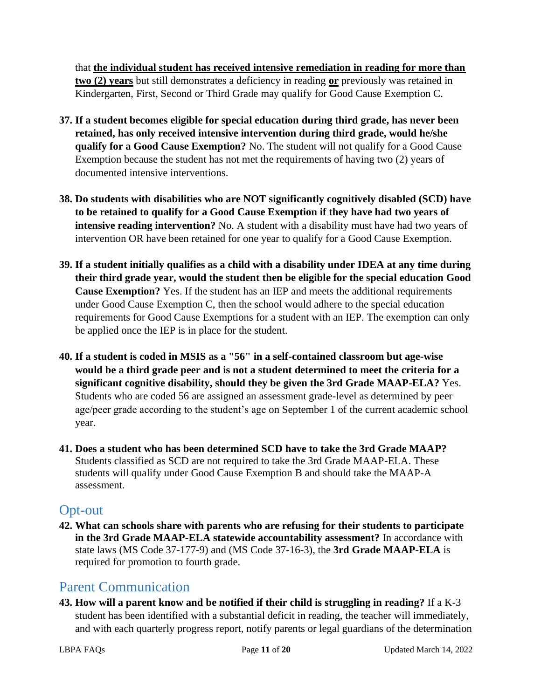that **the individual student has received intensive remediation in reading for more than two (2) years** but still demonstrates a deficiency in reading **or** previously was retained in Kindergarten, First, Second or Third Grade may qualify for Good Cause Exemption C.

- **37. If a student becomes eligible for special education during third grade, has never been retained, has only received intensive intervention during third grade, would he/she qualify for a Good Cause Exemption?** No. The student will not qualify for a Good Cause Exemption because the student has not met the requirements of having two (2) years of documented intensive interventions.
- **38. Do students with disabilities who are NOT significantly cognitively disabled (SCD) have to be retained to qualify for a Good Cause Exemption if they have had two years of intensive reading intervention?** No. A student with a disability must have had two years of intervention OR have been retained for one year to qualify for a Good Cause Exemption.
- **39. If a student initially qualifies as a child with a disability under IDEA at any time during their third grade year, would the student then be eligible for the special education Good Cause Exemption?** Yes. If the student has an IEP and meets the additional requirements under Good Cause Exemption C, then the school would adhere to the special education requirements for Good Cause Exemptions for a student with an IEP. The exemption can only be applied once the IEP is in place for the student.
- **40. If a student is coded in MSIS as a "56" in a self-contained classroom but age-wise would be a third grade peer and is not a student determined to meet the criteria for a significant cognitive disability, should they be given the 3rd Grade MAAP-ELA?** Yes. Students who are coded 56 are assigned an assessment grade-level as determined by peer age/peer grade according to the student's age on September 1 of the current academic school year.
- **41. Does a student who has been determined SCD have to take the 3rd Grade MAAP?**  Students classified as SCD are not required to take the 3rd Grade MAAP-ELA. These students will qualify under Good Cause Exemption B and should take the MAAP-A assessment.

#### <span id="page-10-0"></span>Opt-out

**42. What can schools share with parents who are refusing for their students to participate in the 3rd Grade MAAP-ELA statewide accountability assessment?** In accordance with state laws (MS Code 37-177-9) and (MS Code 37-16-3), the **3rd Grade MAAP-ELA** is required for promotion to fourth grade.

#### <span id="page-10-1"></span>Parent Communication

**43. How will a parent know and be notified if their child is struggling in reading?** If a K-3 student has been identified with a substantial deficit in reading, the teacher will immediately, and with each quarterly progress report, notify parents or legal guardians of the determination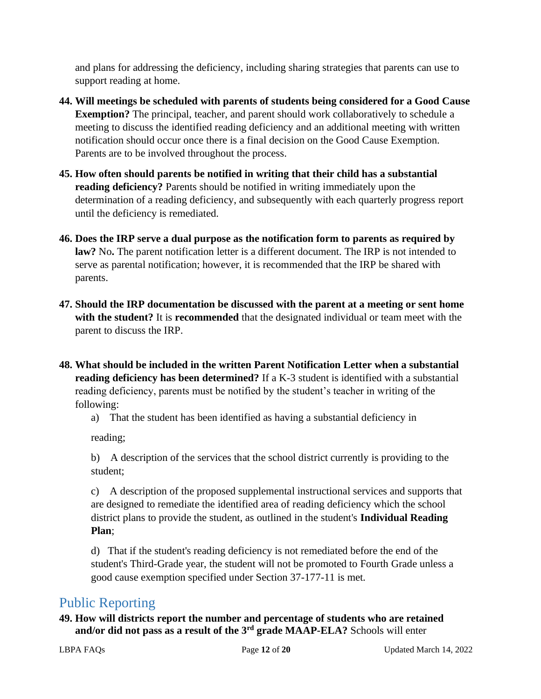and plans for addressing the deficiency, including sharing strategies that parents can use to support reading at home.

- **44. Will meetings be scheduled with parents of students being considered for a Good Cause Exemption?** The principal, teacher, and parent should work collaboratively to schedule a meeting to discuss the identified reading deficiency and an additional meeting with written notification should occur once there is a final decision on the Good Cause Exemption. Parents are to be involved throughout the process.
- **45. How often should parents be notified in writing that their child has a substantial reading deficiency?** Parents should be notified in writing immediately upon the determination of a reading deficiency, and subsequently with each quarterly progress report until the deficiency is remediated.
- **46. Does the IRP serve a dual purpose as the notification form to parents as required by law?** No**.** The parent notification letter is a different document. The IRP is not intended to serve as parental notification; however, it is recommended that the IRP be shared with parents.
- **47. Should the IRP documentation be discussed with the parent at a meeting or sent home with the student?** It is **recommended** that the designated individual or team meet with the parent to discuss the IRP.
- **48. What should be included in the written Parent Notification Letter when a substantial reading deficiency has been determined?** If a K-3 student is identified with a substantial reading deficiency, parents must be notified by the student's teacher in writing of the following:
	- a) That the student has been identified as having a substantial deficiency in

reading;

b) A description of the services that the school district currently is providing to the student;

c) A description of the proposed supplemental instructional services and supports that are designed to remediate the identified area of reading deficiency which the school district plans to provide the student, as outlined in the student's **Individual Reading Plan**;

d) That if the student's reading deficiency is not remediated before the end of the student's Third-Grade year, the student will not be promoted to Fourth Grade unless a good cause exemption specified under Section 37-177-11 is met.

## <span id="page-11-0"></span>Public Reporting

**49. How will districts report the number and percentage of students who are retained and/or did not pass as a result of the 3rd grade MAAP-ELA?** Schools will enter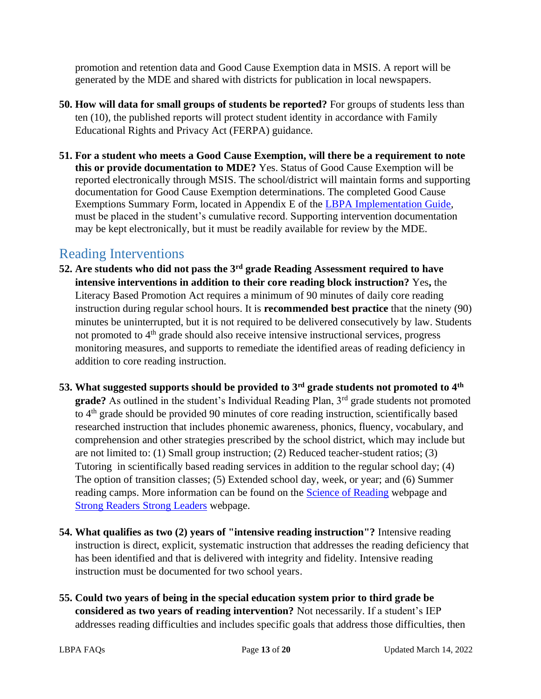promotion and retention data and Good Cause Exemption data in MSIS. A report will be generated by the MDE and shared with districts for publication in local newspapers.

- **50. How will data for small groups of students be reported?** For groups of students less than ten (10), the published reports will protect student identity in accordance with Family Educational Rights and Privacy Act (FERPA) guidance.
- **51. For a student who meets a Good Cause Exemption, will there be a requirement to note this or provide documentation to MDE?** Yes. Status of Good Cause Exemption will be reported electronically through MSIS. The school/district will maintain forms and supporting documentation for Good Cause Exemption determinations. The completed Good Cause Exemptions Summary Form, located in Appendix E of the [LBPA Implementation Guide,](https://www.mdek12.org/sites/default/files/documents/OAE/Literacy/ResourcesForAdmin/revised-11-09-16-lbpa-implementation-guide_feb17_20170223084950_172860.pdf) must be placed in the student's cumulative record. Supporting intervention documentation may be kept electronically, but it must be readily available for review by the MDE.

#### <span id="page-12-0"></span>Reading Interventions

- **52. Are students who did not pass the 3rd grade Reading Assessment required to have intensive interventions in addition to their core reading block instruction?** Yes**,** the Literacy Based Promotion Act requires a minimum of 90 minutes of daily core reading instruction during regular school hours. It is **recommended best practice** that the ninety (90) minutes be uninterrupted, but it is not required to be delivered consecutively by law. Students not promoted to 4<sup>th</sup> grade should also receive intensive instructional services, progress monitoring measures, and supports to remediate the identified areas of reading deficiency in addition to core reading instruction.
- **53. What suggested supports should be provided to 3rd grade students not promoted to 4th grade?** As outlined in the student's Individual Reading Plan, 3<sup>rd</sup> grade students not promoted to 4th grade should be provided 90 minutes of core reading instruction, scientifically based researched instruction that includes phonemic awareness, phonics, fluency, vocabulary, and comprehension and other strategies prescribed by the school district, which may include but are not limited to: (1) Small group instruction; (2) Reduced teacher-student ratios; (3) Tutoring in scientifically based reading services in addition to the regular school day; (4) The option of transition classes; (5) Extended school day, week, or year; and (6) Summer reading camps. More information can be found on the [Science of Reading](https://mdek12.org/OAE/OEER/Science-of-Reading) webpage and [Strong Readers](https://strongreadersms.com/) Strong Leaders webpage.
- **54. What qualifies as two (2) years of "intensive reading instruction"?** Intensive reading instruction is direct, explicit, systematic instruction that addresses the reading deficiency that has been identified and that is delivered with integrity and fidelity. Intensive reading instruction must be documented for two school years.
- **55. Could two years of being in the special education system prior to third grade be considered as two years of reading intervention?** Not necessarily. If a student's IEP addresses reading difficulties and includes specific goals that address those difficulties, then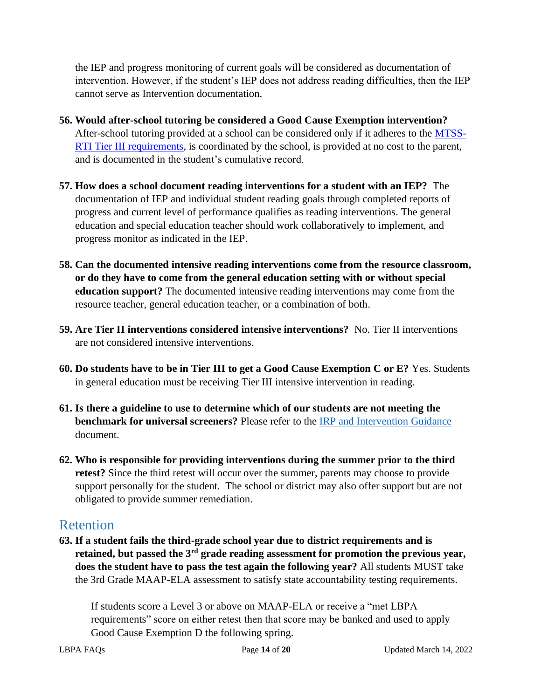the IEP and progress monitoring of current goals will be considered as documentation of intervention. However, if the student's IEP does not address reading difficulties, then the IEP cannot serve as Intervention documentation.

- **56. Would after-school tutoring be considered a Good Cause Exemption intervention?**  After-school tutoring provided at a school can be considered only if it adheres to the [MTSS-](https://www.mdek12.org/sites/default/files/Offices/MDE/OAE/OEER/Intervention/guidance_document_mtss_june2020.pdf)[RTI Tier III requirements,](https://www.mdek12.org/sites/default/files/Offices/MDE/OAE/OEER/Intervention/guidance_document_mtss_june2020.pdf) is coordinated by the school, is provided at no cost to the parent, and is documented in the student's cumulative record.
- **57. How does a school document reading interventions for a student with an IEP?** The documentation of IEP and individual student reading goals through completed reports of progress and current level of performance qualifies as reading interventions. The general education and special education teacher should work collaboratively to implement, and progress monitor as indicated in the IEP.
- **58. Can the documented intensive reading interventions come from the resource classroom, or do they have to come from the general education setting with or without special education support?** The documented intensive reading interventions may come from the resource teacher, general education teacher, or a combination of both.
- **59. Are Tier II interventions considered intensive interventions?** No. Tier II interventions are not considered intensive interventions.
- **60. Do students have to be in Tier III to get a Good Cause Exemption C or E?** Yes. Students in general education must be receiving Tier III intensive intervention in reading.
- **61. Is there a guideline to use to determine which of our students are not meeting the benchmark for universal screeners?** Please refer to the [IRP and Intervention Guidance](https://www.mdek12.org/sites/default/files/Offices/MDE/OA/OSA/Screeners_IRP%20and%20Intervention%20Guidance.pdf) document.
- **62. Who is responsible for providing interventions during the summer prior to the third retest?** Since the third retest will occur over the summer, parents may choose to provide support personally for the student. The school or district may also offer support but are not obligated to provide summer remediation.

#### <span id="page-13-0"></span>Retention

**63. If a student fails the third-grade school year due to district requirements and is retained, but passed the 3rd grade reading assessment for promotion the previous year, does the student have to pass the test again the following year?** All students MUST take the 3rd Grade MAAP-ELA assessment to satisfy state accountability testing requirements.

If students score a Level 3 or above on MAAP-ELA or receive a "met LBPA requirements" score on either retest then that score may be banked and used to apply Good Cause Exemption D the following spring.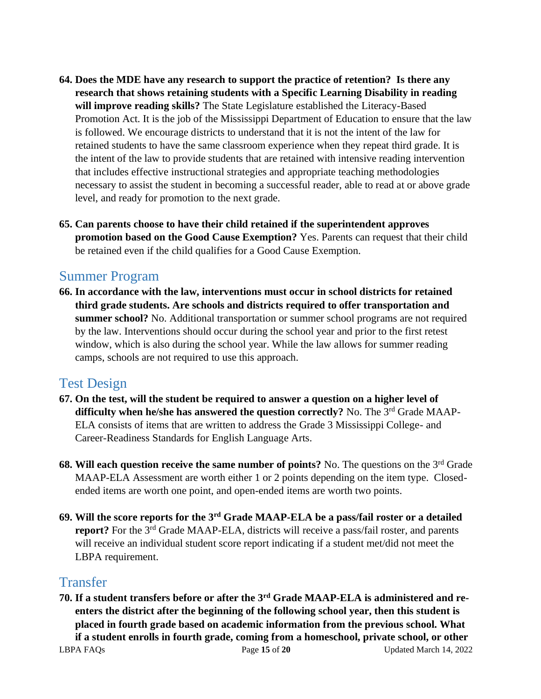- **64. Does the MDE have any research to support the practice of retention? Is there any research that shows retaining students with a Specific Learning Disability in reading will improve reading skills?** The State Legislature established the Literacy-Based Promotion Act. It is the job of the Mississippi Department of Education to ensure that the law is followed. We encourage districts to understand that it is not the intent of the law for retained students to have the same classroom experience when they repeat third grade. It is the intent of the law to provide students that are retained with intensive reading intervention that includes effective instructional strategies and appropriate teaching methodologies necessary to assist the student in becoming a successful reader, able to read at or above grade level, and ready for promotion to the next grade.
- **65. Can parents choose to have their child retained if the superintendent approves promotion based on the Good Cause Exemption?** Yes. Parents can request that their child be retained even if the child qualifies for a Good Cause Exemption.

#### <span id="page-14-0"></span>Summer Program

**66. In accordance with the law, interventions must occur in school districts for retained third grade students. Are schools and districts required to offer transportation and summer school?** No. Additional transportation or summer school programs are not required by the law. Interventions should occur during the school year and prior to the first retest window, which is also during the school year. While the law allows for summer reading camps, schools are not required to use this approach.

#### <span id="page-14-1"></span>Test Design

- **67. On the test, will the student be required to answer a question on a higher level of difficulty when he/she has answered the question correctly?** No. The 3rd Grade MAAP-ELA consists of items that are written to address the Grade 3 Mississippi College- and Career-Readiness Standards for English Language Arts.
- **68. Will each question receive the same number of points?** No. The questions on the 3rd Grade MAAP-ELA Assessment are worth either 1 or 2 points depending on the item type. Closedended items are worth one point, and open-ended items are worth two points.
- **69. Will the score reports for the 3rd Grade MAAP-ELA be a pass/fail roster or a detailed report?** For the 3<sup>rd</sup> Grade MAAP-ELA, districts will receive a pass/fail roster, and parents will receive an individual student score report indicating if a student met/did not meet the LBPA requirement.

#### <span id="page-14-2"></span>Transfer

**70. If a student transfers before or after the 3rd Grade MAAP-ELA is administered and reenters the district after the beginning of the following school year, then this student is placed in fourth grade based on academic information from the previous school. What if a student enrolls in fourth grade, coming from a homeschool, private school, or other**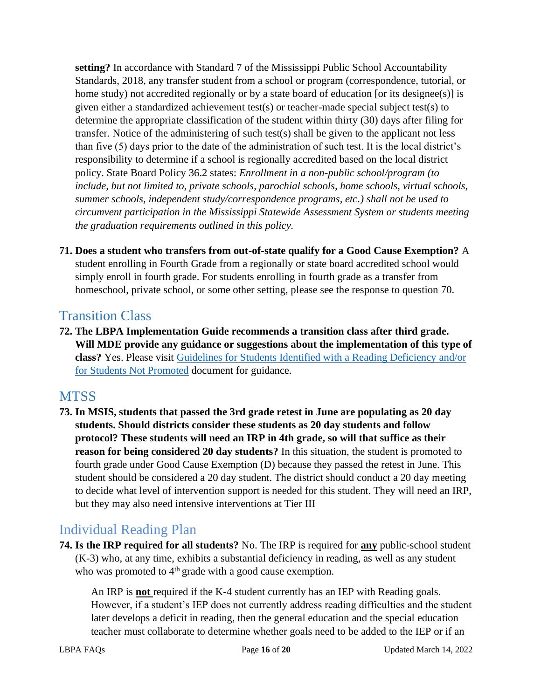**setting?** In accordance with Standard 7 of the Mississippi Public School Accountability Standards, 2018, any transfer student from a school or program (correspondence, tutorial, or home study) not accredited regionally or by a state board of education [or its designee(s)] is given either a standardized achievement test(s) or teacher-made special subject test(s) to determine the appropriate classification of the student within thirty (30) days after filing for transfer. Notice of the administering of such test(s) shall be given to the applicant not less than five (5) days prior to the date of the administration of such test. It is the local district's responsibility to determine if a school is regionally accredited based on the local district policy. State Board Policy 36.2 states: *Enrollment in a non-public school/program (to include, but not limited to, private schools, parochial schools, home schools, virtual schools, summer schools, independent study/correspondence programs, etc.) shall not be used to circumvent participation in the Mississippi Statewide Assessment System or students meeting the graduation requirements outlined in this policy.*

**71. Does a student who transfers from out-of-state qualify for a Good Cause Exemption?** A student enrolling in Fourth Grade from a regionally or state board accredited school would simply enroll in fourth grade. For students enrolling in fourth grade as a transfer from homeschool, private school, or some other setting, please see the response to question 70.

#### <span id="page-15-0"></span>Transition Class

**72. The LBPA Implementation Guide recommends a transition class after third grade. Will MDE provide any guidance or suggestions about the implementation of this type of class?** Yes. Please visit Guidelines for [Students Identified with a Reading Deficiency and/or](https://www.mdek12.org/sites/default/files/documents/OAE/Literacy/ResourcesForAdmin/guidelines-for-transition-and-intensive-acceleration-classes_20170406162650_536208.pdf)  [for Students Not Promoted](https://www.mdek12.org/sites/default/files/documents/OAE/Literacy/ResourcesForAdmin/guidelines-for-transition-and-intensive-acceleration-classes_20170406162650_536208.pdf) document for guidance.

## <span id="page-15-1"></span>**MTSS**

**73. In MSIS, students that passed the 3rd grade retest in June are populating as 20 day students. Should districts consider these students as 20 day students and follow protocol? These students will need an IRP in 4th grade, so will that suffice as their reason for being considered 20 day students?** In this situation, the student is promoted to fourth grade under Good Cause Exemption (D) because they passed the retest in June. This student should be considered a 20 day student. The district should conduct a 20 day meeting to decide what level of intervention support is needed for this student. They will need an IRP, but they may also need intensive interventions at Tier III

# <span id="page-15-2"></span>Individual Reading Plan

**74. Is the IRP required for all students?** No. The IRP is required for **any** public-school student (K-3) who, at any time, exhibits a substantial deficiency in reading, as well as any student who was promoted to 4<sup>th</sup> grade with a good cause exemption.

An IRP is **not** required if the K-4 student currently has an IEP with Reading goals. However, if a student's IEP does not currently address reading difficulties and the student later develops a deficit in reading, then the general education and the special education teacher must collaborate to determine whether goals need to be added to the IEP or if an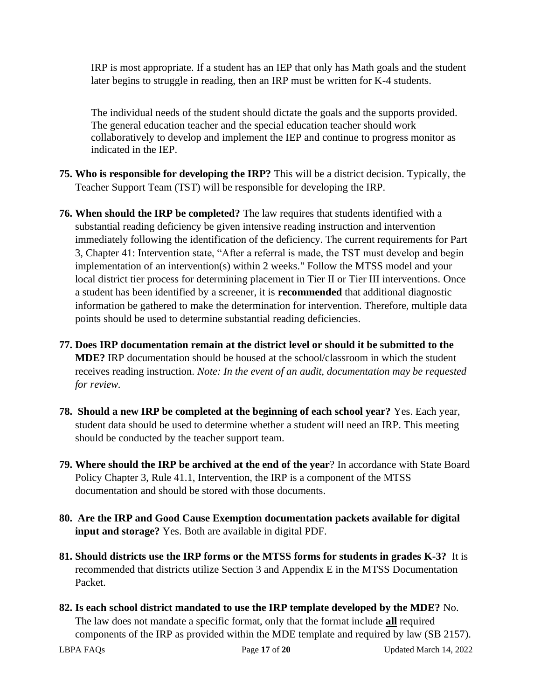IRP is most appropriate. If a student has an IEP that only has Math goals and the student later begins to struggle in reading, then an IRP must be written for K-4 students.

The individual needs of the student should dictate the goals and the supports provided. The general education teacher and the special education teacher should work collaboratively to develop and implement the IEP and continue to progress monitor as indicated in the IEP.

- **75. Who is responsible for developing the IRP?** This will be a district decision. Typically, the Teacher Support Team (TST) will be responsible for developing the IRP.
- **76. When should the IRP be completed?** The law requires that students identified with a substantial reading deficiency be given intensive reading instruction and intervention immediately following the identification of the deficiency. The current requirements for Part 3, Chapter 41: Intervention state, "After a referral is made, the TST must develop and begin implementation of an intervention(s) within 2 weeks." Follow the MTSS model and your local district tier process for determining placement in Tier II or Tier III interventions. Once a student has been identified by a screener, it is **recommended** that additional diagnostic information be gathered to make the determination for intervention. Therefore, multiple data points should be used to determine substantial reading deficiencies.
- **77. Does IRP documentation remain at the district level or should it be submitted to the MDE?** IRP documentation should be housed at the school/classroom in which the student receives reading instruction. *Note: In the event of an audit, documentation may be requested for review.*
- **78. Should a new IRP be completed at the beginning of each school year?** Yes. Each year, student data should be used to determine whether a student will need an IRP. This meeting should be conducted by the teacher support team.
- **79. Where should the IRP be archived at the end of the year**? In accordance with State Board Policy Chapter 3, Rule 41.1, Intervention, the IRP is a component of the MTSS documentation and should be stored with those documents.
- **80. Are the IRP and Good Cause Exemption documentation packets available for digital input and storage?** Yes. Both are available in digital PDF.
- **81. Should districts use the IRP forms or the MTSS forms for students in grades K-3?** It is recommended that districts utilize Section 3 and Appendix E in the MTSS Documentation Packet.
- **82. Is each school district mandated to use the IRP template developed by the MDE?** No. The law does not mandate a specific format, only that the format include **all** required components of the IRP as provided within the MDE template and required by law (SB 2157).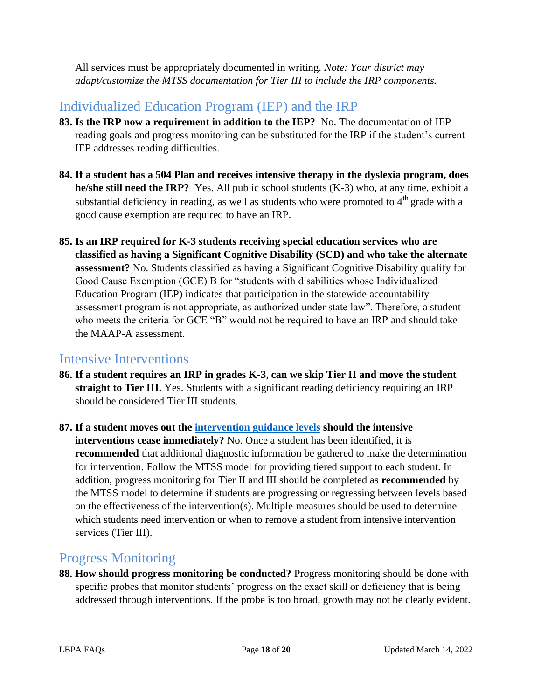All services must be appropriately documented in writing. *Note: Your district may adapt/customize the MTSS documentation for Tier III to include the IRP components.*

## <span id="page-17-0"></span>Individualized Education Program (IEP) and the IRP

- **83. Is the IRP now a requirement in addition to the IEP?** No. The documentation of IEP reading goals and progress monitoring can be substituted for the IRP if the student's current IEP addresses reading difficulties.
- **84. If a student has a 504 Plan and receives intensive therapy in the dyslexia program, does he/she still need the IRP?** Yes. All public school students (K-3) who, at any time, exhibit a substantial deficiency in reading, as well as students who were promoted to  $4<sup>th</sup>$  grade with a good cause exemption are required to have an IRP.
- **85. Is an IRP required for K-3 students receiving special education services who are classified as having a Significant Cognitive Disability (SCD) and who take the alternate assessment?** No. Students classified as having a Significant Cognitive Disability qualify for Good Cause Exemption (GCE) B for "students with disabilities whose Individualized Education Program (IEP) indicates that participation in the statewide accountability assessment program is not appropriate, as authorized under state law". Therefore, a student who meets the criteria for GCE "B" would not be required to have an IRP and should take the MAAP-A assessment.

#### <span id="page-17-1"></span>Intensive Interventions

- **86. If a student requires an IRP in grades K-3, can we skip Tier II and move the student straight to Tier III.** Yes. Students with a significant reading deficiency requiring an IRP should be considered Tier III students.
- **87. If a student moves out the [intervention guidance levels](https://www.mdek12.org/sites/default/files/Offices/MDE/OA/OSA/Screeners_IRP%20and%20Intervention%20Guidance.pdf) should the intensive interventions cease immediately?** No. Once a student has been identified, it is **recommended** that additional diagnostic information be gathered to make the determination for intervention. Follow the MTSS model for providing tiered support to each student. In addition, progress monitoring for Tier II and III should be completed as **recommended** by the MTSS model to determine if students are progressing or regressing between levels based on the effectiveness of the intervention(s). Multiple measures should be used to determine which students need intervention or when to remove a student from intensive intervention services (Tier III).

#### <span id="page-17-2"></span>Progress Monitoring

**88. How should progress monitoring be conducted?** Progress monitoring should be done with specific probes that monitor students' progress on the exact skill or deficiency that is being addressed through interventions. If the probe is too broad, growth may not be clearly evident.